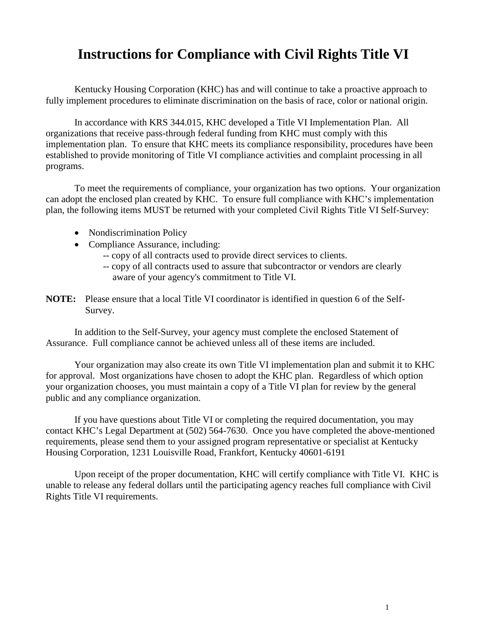## **Instructions for Compliance with Civil Rights Title VI**

Kentucky Housing Corporation (KHC) has and will continue to take a proactive approach to fully implement procedures to eliminate discrimination on the basis of race, color or national origin.

In accordance with KRS 344.015, KHC developed a Title VI Implementation Plan. All organizations that receive pass-through federal funding from KHC must comply with this implementation plan. To ensure that KHC meets its compliance responsibility, procedures have been established to provide monitoring of Title VI compliance activities and complaint processing in all programs.

To meet the requirements of compliance, your organization has two options. Your organization can adopt the enclosed plan created by KHC. To ensure full compliance with KHC's implementation plan, the following items MUST be returned with your completed Civil Rights Title VI Self-Survey:

- Nondiscrimination Policy
- Compliance Assurance, including:
	- -- copy of all contracts used to provide direct services to clients.
	- -- copy of all contracts used to assure that subcontractor or vendors are clearly aware of your agency's commitment to Title VI.
- **NOTE:** Please ensure that a local Title VI coordinator is identified in question 6 of the Self-Survey.

In addition to the Self-Survey, your agency must complete the enclosed Statement of Assurance. Full compliance cannot be achieved unless all of these items are included.

Your organization may also create its own Title VI implementation plan and submit it to KHC for approval. Most organizations have chosen to adopt the KHC plan. Regardless of which option your organization chooses, you must maintain a copy of a Title VI plan for review by the general public and any compliance organization.

If you have questions about Title VI or completing the required documentation, you may contact KHC's Legal Department at (502) 564-7630. Once you have completed the above-mentioned requirements, please send them to your assigned program representative or specialist at Kentucky Housing Corporation, 1231 Louisville Road, Frankfort, Kentucky 40601-6191

Upon receipt of the proper documentation, KHC will certify compliance with Title VI. KHC is unable to release any federal dollars until the participating agency reaches full compliance with Civil Rights Title VI requirements.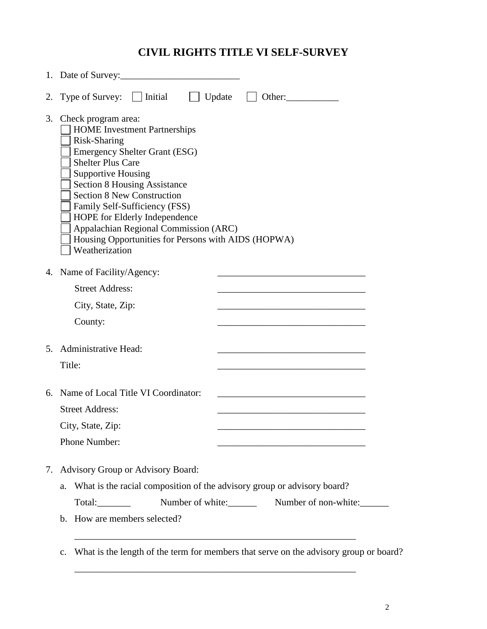## **CIVIL RIGHTS TITLE VI SELF-SURVEY**

|    | 1. Date of Survey:                                                                                                                                                                                                                                                                                                                                                                                                                          |  |  |
|----|---------------------------------------------------------------------------------------------------------------------------------------------------------------------------------------------------------------------------------------------------------------------------------------------------------------------------------------------------------------------------------------------------------------------------------------------|--|--|
| 2. | Type of Survey: $\Box$ Initial<br>$\Box$ Update<br>Other:                                                                                                                                                                                                                                                                                                                                                                                   |  |  |
| 3. | Check program area:<br><b>HOME</b> Investment Partnerships<br>Risk-Sharing<br><b>Emergency Shelter Grant (ESG)</b><br><b>Shelter Plus Care</b><br><b>Supportive Housing</b><br><b>Section 8 Housing Assistance</b><br><b>Section 8 New Construction</b><br>Family Self-Sufficiency (FSS)<br>HOPE for Elderly Independence<br>Appalachian Regional Commission (ARC)<br>Housing Opportunities for Persons with AIDS (HOPWA)<br>Weatherization |  |  |
|    | 4. Name of Facility/Agency:                                                                                                                                                                                                                                                                                                                                                                                                                 |  |  |
|    | <b>Street Address:</b>                                                                                                                                                                                                                                                                                                                                                                                                                      |  |  |
|    | City, State, Zip:                                                                                                                                                                                                                                                                                                                                                                                                                           |  |  |
|    | County:                                                                                                                                                                                                                                                                                                                                                                                                                                     |  |  |
| 5. | Administrative Head:                                                                                                                                                                                                                                                                                                                                                                                                                        |  |  |
|    | Title:                                                                                                                                                                                                                                                                                                                                                                                                                                      |  |  |
|    | 6. Name of Local Title VI Coordinator:                                                                                                                                                                                                                                                                                                                                                                                                      |  |  |
|    | <b>Street Address:</b>                                                                                                                                                                                                                                                                                                                                                                                                                      |  |  |
|    | City, State, Zip:                                                                                                                                                                                                                                                                                                                                                                                                                           |  |  |
|    | Phone Number:                                                                                                                                                                                                                                                                                                                                                                                                                               |  |  |
|    | 7. Advisory Group or Advisory Board:<br>What is the racial composition of the advisory group or advisory board?<br>a.                                                                                                                                                                                                                                                                                                                       |  |  |
|    | Number of white: Number of non-white:                                                                                                                                                                                                                                                                                                                                                                                                       |  |  |
|    | How are members selected?<br>$\mathbf{b}$ .                                                                                                                                                                                                                                                                                                                                                                                                 |  |  |
|    |                                                                                                                                                                                                                                                                                                                                                                                                                                             |  |  |
|    | What is the length of the term for members that serve on the advisory group or board?<br>$C_{\bullet}$                                                                                                                                                                                                                                                                                                                                      |  |  |

\_\_\_\_\_\_\_\_\_\_\_\_\_\_\_\_\_\_\_\_\_\_\_\_\_\_\_\_\_\_\_\_\_\_\_\_\_\_\_\_\_\_\_\_\_\_\_\_\_\_\_\_\_\_\_\_\_\_\_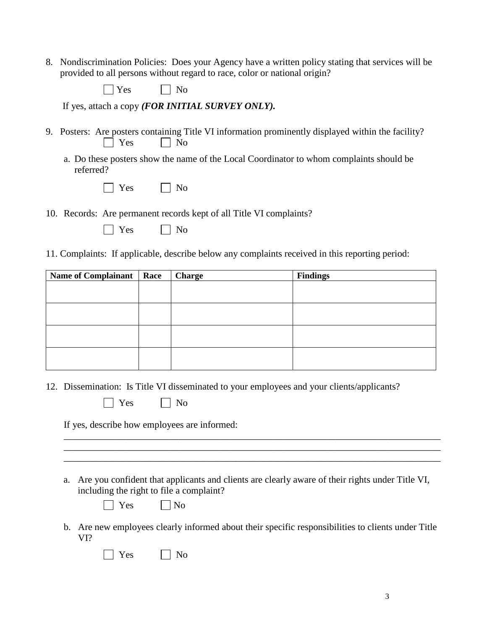8. Nondiscrimination Policies: Does your Agency have a written policy stating that services will be provided to all persons without regard to race, color or national origin?

| es | Nο |
|----|----|
|----|----|

If yes, attach a copy *(FOR INITIAL SURVEY ONLY).*

- 9. Posters: Are posters containing Title VI information prominently displayed within the facility?  $\vert$  Yes  $\vert$  No
	- a. Do these posters show the name of the Local Coordinator to whom complaints should be referred?

|  | es |  | No<br>ľ |
|--|----|--|---------|
|--|----|--|---------|

- 10. Records: Are permanent records kept of all Title VI complaints?
	- $\Box$  Yes  $\Box$  No
- 11. Complaints: If applicable, describe below any complaints received in this reporting period:

| <b>Name of Complainant</b> | Race | <b>Charge</b> | <b>Findings</b> |
|----------------------------|------|---------------|-----------------|
|                            |      |               |                 |
|                            |      |               |                 |
|                            |      |               |                 |
|                            |      |               |                 |
|                            |      |               |                 |
|                            |      |               |                 |
|                            |      |               |                 |
|                            |      |               |                 |

12. Dissemination: Is Title VI disseminated to your employees and your clients/applicants?

| Yes |  | No |
|-----|--|----|
|-----|--|----|

If yes, describe how employees are informed:

a. Are you confident that applicants and clients are clearly aware of their rights under Title VI, including the right to file a complaint?

\_\_\_\_\_\_\_\_\_\_\_\_\_\_\_\_\_\_\_\_\_\_\_\_\_\_\_\_\_\_\_\_\_\_\_\_\_\_\_\_\_\_\_\_\_\_\_\_\_\_\_\_\_\_\_\_\_\_\_\_\_\_\_\_\_\_\_\_\_\_\_\_\_\_\_\_\_\_\_ \_\_\_\_\_\_\_\_\_\_\_\_\_\_\_\_\_\_\_\_\_\_\_\_\_\_\_\_\_\_\_\_\_\_\_\_\_\_\_\_\_\_\_\_\_\_\_\_\_\_\_\_\_\_\_\_\_\_\_\_\_\_\_\_\_\_\_\_\_\_\_\_\_\_\_\_\_\_\_ \_\_\_\_\_\_\_\_\_\_\_\_\_\_\_\_\_\_\_\_\_\_\_\_\_\_\_\_\_\_\_\_\_\_\_\_\_\_\_\_\_\_\_\_\_\_\_\_\_\_\_\_\_\_\_\_\_\_\_\_\_\_\_\_\_\_\_\_\_\_\_\_\_\_\_\_\_\_\_

 $\exists$  Yes  $\Box$  No

b. Are new employees clearly informed about their specific responsibilities to clients under Title VI?

| es | Nο |
|----|----|
|----|----|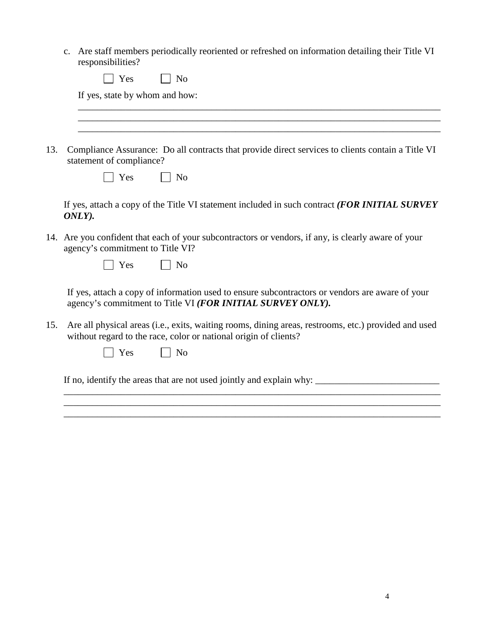c. Are staff members periodically reoriented or refreshed on information detailing their Title VI responsibilities?

| If yes, state by whom and how: |  |  |
|--------------------------------|--|--|
|                                |  |  |
|                                |  |  |
|                                |  |  |

13. Compliance Assurance: Do all contracts that provide direct services to clients contain a Title VI statement of compliance?

| ∽ | √∩ |
|---|----|
| ∸ | ı  |

If yes, attach a copy of the Title VI statement included in such contract *(FOR INITIAL SURVEY ONLY).*

14. Are you confident that each of your subcontractors or vendors, if any, is clearly aware of your agency's commitment to Title VI?

 $\Box$  Yes  $\Box$  No

If yes, attach a copy of information used to ensure subcontractors or vendors are aware of your agency's commitment to Title VI *(FOR INITIAL SURVEY ONLY).*

\_\_\_\_\_\_\_\_\_\_\_\_\_\_\_\_\_\_\_\_\_\_\_\_\_\_\_\_\_\_\_\_\_\_\_\_\_\_\_\_\_\_\_\_\_\_\_\_\_\_\_\_\_\_\_\_\_\_\_\_\_\_\_\_\_\_\_\_\_\_\_\_\_\_\_\_\_\_\_ \_\_\_\_\_\_\_\_\_\_\_\_\_\_\_\_\_\_\_\_\_\_\_\_\_\_\_\_\_\_\_\_\_\_\_\_\_\_\_\_\_\_\_\_\_\_\_\_\_\_\_\_\_\_\_\_\_\_\_\_\_\_\_\_\_\_\_\_\_\_\_\_\_\_\_\_\_\_\_ \_\_\_\_\_\_\_\_\_\_\_\_\_\_\_\_\_\_\_\_\_\_\_\_\_\_\_\_\_\_\_\_\_\_\_\_\_\_\_\_\_\_\_\_\_\_\_\_\_\_\_\_\_\_\_\_\_\_\_\_\_\_\_\_\_\_\_\_\_\_\_\_\_\_\_\_\_\_\_

15. Are all physical areas (i.e., exits, waiting rooms, dining areas, restrooms, etc.) provided and used without regard to the race, color or national origin of clients?

If no, identify the areas that are not used jointly and explain why: \_\_\_\_\_\_\_\_\_\_\_\_\_\_\_\_\_\_\_\_\_\_\_\_\_\_